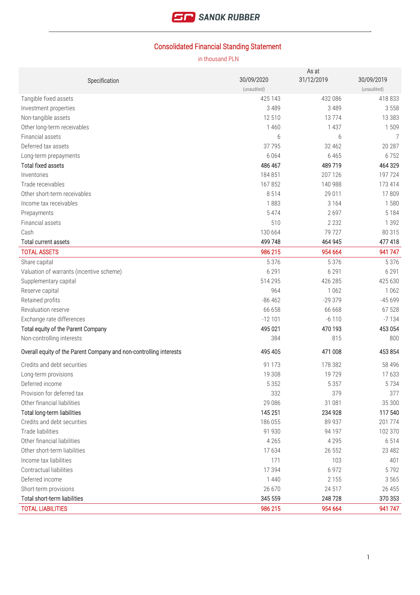

# Consolidated Financial Standing Statement

|                                                                    |             | As at      |             |
|--------------------------------------------------------------------|-------------|------------|-------------|
| Specification                                                      | 30/09/2020  | 31/12/2019 | 30/09/2019  |
|                                                                    | (unaudited) |            | (unaudited) |
| Tangible fixed assets                                              | 425 143     | 432 086    | 418 833     |
| Investment properties                                              | 3 4 8 9     | 3 4 8 9    | 3 5 5 8     |
| Non-tangible assets                                                | 12 510      | 13774      | 13 3 8 3    |
| Other long-term receivables                                        | 1 4 6 0     | 1 4 3 7    | 1509        |
| Financial assets                                                   | 6           | 6          | 7           |
| Deferred tax assets                                                | 37 7 95     | 32 462     | 20 287      |
| Long-term prepayments                                              | 6 0 6 4     | 6 4 6 5    | 6752        |
| <b>Total fixed assets</b>                                          | 486 467     | 489 719    | 464 329     |
| Inventories                                                        | 184851      | 207 126    | 197 724     |
| Trade receivables                                                  | 167852      | 140 988    | 173 414     |
| Other short-term receivables                                       | 8514        | 29 011     | 17809       |
| Income tax receivables                                             | 1883        | 3 1 6 4    | 1580        |
| Prepayments                                                        | 5 4 7 4     | 2697       | 5 1 8 4     |
| Financial assets                                                   | 510         | 2 2 3 2    | 1 3 9 2     |
| Cash                                                               | 130 664     | 79 727     | 80 315      |
| <b>Total current assets</b>                                        | 499 748     | 464 945    | 477 418     |
| <b>TOTAL ASSETS</b>                                                | 986 215     | 954 664    | 941 747     |
| Share capital                                                      | 5 3 7 6     | 5 3 7 6    | 5 3 7 6     |
| Valuation of warrants (incentive scheme)                           | 6 2 9 1     | 6 2 9 1    | 6 2 9 1     |
| Supplementary capital                                              | 514 295     | 426 285    | 425 630     |
| Reserve capital                                                    | 964         | 1 0 6 2    | 1 0 6 2     |
| Retained profits                                                   | $-86462$    | $-29379$   | $-45699$    |
| Revaluation reserve                                                | 66 658      | 66 668     | 67 528      |
| Exchange rate differences                                          | $-12101$    | $-6110$    | $-7134$     |
| Total equity of the Parent Company                                 | 495 021     | 470 193    | 453 054     |
| Non-controlling interests                                          | 384         | 815        | 800         |
| Overall equity of the Parent Company and non-controlling interests | 495 405     | 471 008    | 453 854     |
|                                                                    |             |            |             |
| Credits and debt securities                                        | 91 1 7 3    | 178 382    | 58 4 9 6    |
| Long-term provisions                                               | 19 308      | 19729      | 17633       |
| Deferred income                                                    | 5 3 5 2     | 5 3 5 7    | 5734        |
| Provision for deferred tax                                         | 332         | 379        | 377         |
| Other financial liabilities                                        | 29 08 6     | 31 081     | 35 300      |
| Total long-term liabilities                                        | 145 251     | 234 928    | 117 540     |
| Credits and debt securities                                        | 186 055     | 89 937     | 201 774     |
| Trade liabilities                                                  | 91 930      | 94 197     | 102 370     |
| Other financial liabilities                                        | 4 2 6 5     | 4 2 9 5    | 6 5 1 4     |
| Other short-term liabilities                                       | 17634       | 26 552     | 23 4 8 2    |
| Income tax liabilities                                             | 171         | 103        | 401         |
| Contractual liabilities                                            | 17 394      | 6 9 7 2    | 5792        |
| Deferred income                                                    | 1 4 4 0     | 2 1 5 5    | 3 5 6 5     |
| Short-term provisions                                              | 26 670      | 24 517     | 26 455      |
| Total short-term liabilities                                       | 345 559     | 248728     | 370 353     |
| <b>TOTAL LIABILITIES</b>                                           | 986 215     | 954 664    | 941 747     |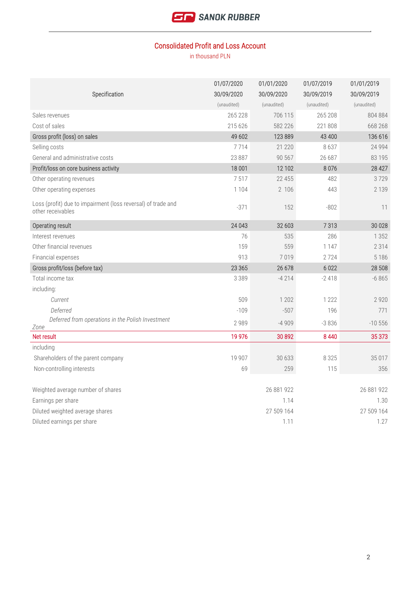

### Consolidated Profit and Loss Account

|                                                                                   | 01/07/2020  | 01/01/2020  | 01/07/2019  | 01/01/2019  |
|-----------------------------------------------------------------------------------|-------------|-------------|-------------|-------------|
| Specification                                                                     | 30/09/2020  | 30/09/2020  | 30/09/2019  | 30/09/2019  |
|                                                                                   | (unaudited) | (unaudited) | (unaudited) | (unaudited) |
| Sales revenues                                                                    | 265 228     | 706 115     | 265 208     | 804 884     |
| Cost of sales                                                                     | 215 626     | 582 226     | 221 808     | 668 268     |
| Gross profit (loss) on sales                                                      | 49 602      | 123 889     | 43 400      | 136 616     |
| Selling costs                                                                     | 7714        | 21 2 20     | 8637        | 24 9 94     |
| General and administrative costs                                                  | 23 887      | 90 567      | 26 687      | 83 195      |
| Profit/loss on core business activity                                             | 18 001      | 12 102      | 8076        | 28 4 27     |
| Other operating revenues                                                          | 7517        | 22 455      | 482         | 3729        |
| Other operating expenses                                                          | 1 1 0 4     | 2 106       | 443         | 2 1 3 9     |
| Loss (profit) due to impairment (loss reversal) of trade and<br>other receivables | $-371$      | 152         | $-802$      | 11          |
| Operating result                                                                  | 24 043      | 32 603      | 7313        | 30 0 28     |
| Interest revenues                                                                 | 76          | 535         | 286         | 1 3 5 2     |
| Other financial revenues                                                          | 159         | 559         | 1 1 4 7     | 2 3 1 4     |
| Financial expenses                                                                | 913         | 7019        | 2724        | 5 1 8 6     |
| Gross profit/loss (before tax)                                                    | 23 365      | 26 678      | 6 0 2 2     | 28 508      |
| Total income tax                                                                  | 3 3 8 9     | $-4214$     | $-2418$     | $-6865$     |
| including:                                                                        |             |             |             |             |
| Current                                                                           | 509         | 1 202       | 1 2 2 2     | 2 9 2 0     |
| Deferred                                                                          | $-109$      | $-507$      | 196         | 771         |
| Deferred from operations in the Polish Investment<br>Zone                         | 2 9 8 9     | $-4909$     | $-3836$     | $-10556$    |
| Net result                                                                        | 19 976      | 30892       | 8 4 4 0     | 35 373      |
| including                                                                         |             |             |             |             |
| Shareholders of the parent company                                                | 19 907      | 30 633      | 8 3 2 5     | 35 017      |
| Non-controlling interests                                                         | 69          | 259         | 115         | 356         |
| Weighted average number of shares                                                 |             | 26 881 922  |             | 26 881 922  |
| Earnings per share                                                                |             | 1.14        |             | 1.30        |
| Diluted weighted average shares                                                   |             | 27 509 164  |             | 27 509 164  |
| Diluted earnings per share                                                        |             | 1.11        |             | 1.27        |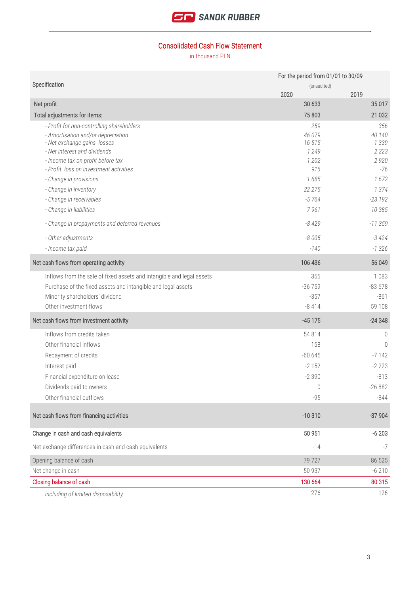

### Consolidated Cash Flow Statement

|                                                                       | For the period from 01/01 to 30/09 |                |  |
|-----------------------------------------------------------------------|------------------------------------|----------------|--|
| Specification                                                         | (unaudited)                        |                |  |
|                                                                       | 2020                               | 2019           |  |
| Net profit                                                            | 30 633                             | 35 017         |  |
| Total adjustments for items:                                          | 75803                              | 21 0 32        |  |
| - Profit for non-controlling shareholders                             | 259                                | 356            |  |
| - Amortisation and/or depreciation<br>- Net exchange gains losses     | 46 079<br>16515                    | 40 140<br>1339 |  |
| - Net interest and dividends                                          | 1 2 4 9                            | 2 2 2 3        |  |
| - Income tax on profit before tax                                     | 1 2 0 2                            | 2920           |  |
| - Profit loss on investment activities                                | 916                                | $-76$          |  |
| - Change in provisions                                                | 1685                               | 1672           |  |
| - Change in inventory                                                 | 22 275                             | 1374           |  |
| - Change in receivables                                               | $-5764$                            | $-23192$       |  |
| - Change in liabilities                                               | 7961                               | 10 385         |  |
| - Change in prepayments and deferred revenues                         | $-8429$                            | $-11359$       |  |
| - Other adjustments                                                   | $-8005$                            | $-3424$        |  |
| - Income tax paid                                                     | $-140$                             | $-1326$        |  |
| Net cash flows from operating activity                                | 106 436                            | 56 049         |  |
| Inflows from the sale of fixed assets and intangible and legal assets | 355                                | 1083           |  |
| Purchase of the fixed assets and intangible and legal assets          | $-36759$                           | $-83678$       |  |
| Minority shareholders' dividend                                       | $-357$                             | $-861$         |  |
| Other investment flows                                                | $-8414$                            | 59 108         |  |
| Net cash flows from investment activity                               | $-45175$                           | $-24348$       |  |
| Inflows from credits taken                                            | 54 814                             | $\mathbf 0$    |  |
| Other financial inflows                                               | 158                                | $\Omega$       |  |
| Repayment of credits                                                  | $-60645$                           | $-7142$        |  |
| Interest paid                                                         | $-2152$                            | $-2223$        |  |
| Financial expenditure on lease                                        | $-2390$                            | $-813$         |  |
| Dividends paid to owners                                              | 0                                  | $-26882$       |  |
| Other financial outflows                                              | $-95$                              | $-844$         |  |
| Net cash flows from financing activities                              | $-10310$                           | $-37904$       |  |
| Change in cash and cash equivalents                                   | 50 951                             | $-6203$        |  |
| Net exchange differences in cash and cash equivalents                 | $-14$                              | $-7$           |  |
| Opening balance of cash                                               | 79 727                             | 86 525         |  |
| Net change in cash                                                    | 50 937                             | $-6210$        |  |
| Closing balance of cash                                               | 130 664                            | 80 315         |  |
| including of limited disposability                                    | 276                                | 126            |  |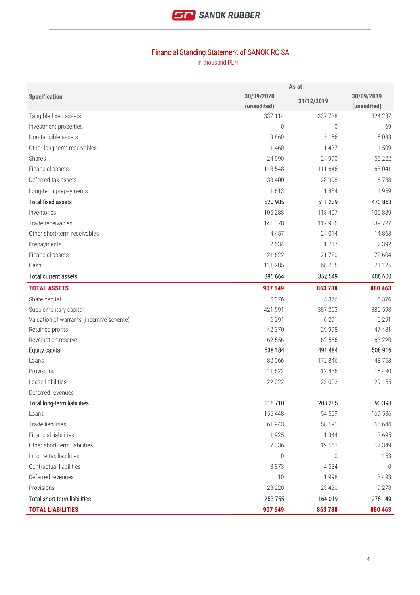

# Financial Standing Statement of SANOK RC SA

|                                          | As at       |            |             |
|------------------------------------------|-------------|------------|-------------|
| <b>Specification</b>                     | 30/09/2020  | 31/12/2019 | 30/09/2019  |
|                                          | (unaudited) |            | (unaudited) |
| Tangible fixed assets                    | 337 114     | 337728     | 324 237     |
| Investment properties                    | 0           | 0          | 69          |
| Non-tangible assets                      | 3 8 6 0     | 5 1 5 6    | 5088        |
| Other long-term receivables              | 1460        | 1 4 3 7    | 1509        |
| Shares                                   | 24 990      | 24 9 90    | 56 222      |
| Financial assets                         | 118 548     | 111 646    | 68 041      |
| Deferred tax assets                      | 33 400      | 28 3 98    | 16738       |
| Long-term prepayments                    | 1613        | 1884       | 1959        |
| <b>Total fixed assets</b>                | 520 985     | 511 239    | 473 863     |
| Inventories                              | 105 288     | 118 407    | 105 889     |
| Trade receivables                        | 141 378     | 117 986    | 139 727     |
| Other short-term receivables             | 4 4 5 7     | 24 0 14    | 14 8 63     |
| Prepayments                              | 2634        | 1717       | 2 3 9 2     |
| Financial assets                         | 21 622      | 21720      | 72 604      |
| Cash                                     | 111 285     | 68705      | 71 1 25     |
| Total current assets                     | 386 664     | 352 549    | 406 600     |
| <b>TOTAL ASSETS</b>                      | 907 649     | 863788     | 880 463     |
| Share capital                            | 5 3 7 6     | 5 3 7 6    | 5 3 7 6     |
| Supplementary capital                    | 421 591     | 387 253    | 386 598     |
| Valuation of warrants (incentive scheme) | 6 2 9 1     | 6 2 9 1    | 6 2 9 1     |
| Retained profits                         | 42 370      | 29 9 98    | 47 431      |
| Revaluation reserve                      | 62 556      | 62 566     | 63 2 20     |
| Equity capital                           | 538 184     | 491 484    | 508 916     |
| Loans                                    | 82 066      | 172 846    | 48753       |
| Provisions                               | 11 622      | 12 4 3 6   | 15 4 90     |
| Lease liabilities                        | 22 0 22     | 23 003     | 29 155      |
| Deferred revenues                        |             |            |             |
| Total long-term liabilities              | 115710      | 208 285    | 93 398      |
| Loans                                    | 155 448     | 54 559     | 169 536     |
| Trade liabilities                        | 61 943      | 58 591     | 65 644      |
| <b>Financial liabilities</b>             | 1925        | 1 3 4 4    | 2695        |
| Other short-term liabilities             | 7 3 3 6     | 19 563     | 17 349      |
| Income tax liabilities                   | 0           | 0          | 153         |
| Contractual liabilities                  | 3873        | 4534       | $\theta$    |
| Deferred revenues                        | 10          | 1998       | 3 4 9 3     |
| Provisions                               | 23 2 20     | 23 4 30    | 19 278      |
| Total short-term liabilities             | 253 755     | 164 019    | 278 149     |
| <b>TOTAL LIABILITIES</b>                 | 907 649     | 863788     | 880 463     |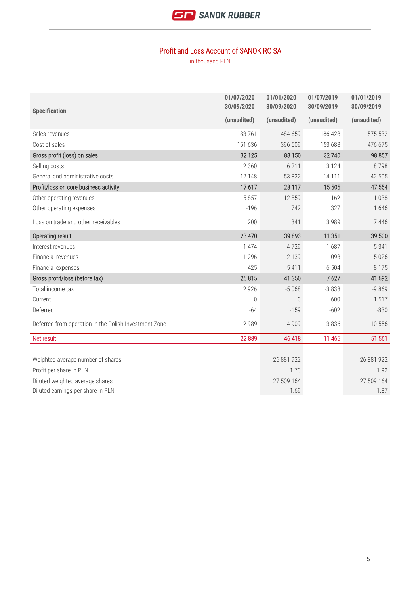

#### Profit and Loss Account of SANOK RC SA

| <b>Specification</b>                                  | 01/07/2020<br>30/09/2020 | 01/01/2020<br>30/09/2020 | 01/07/2019<br>30/09/2019 | 01/01/2019<br>30/09/2019 |
|-------------------------------------------------------|--------------------------|--------------------------|--------------------------|--------------------------|
|                                                       | (unaudited)              | (unaudited)              | (unaudited)              | (unaudited)              |
| Sales revenues                                        | 183761                   | 484 659                  | 186 428                  | 575 532                  |
| Cost of sales                                         | 151 636                  | 396 509                  | 153 688                  | 476 675                  |
| Gross profit (loss) on sales                          | 32 1 25                  | 88 150                   | 32740                    | 98 857                   |
| Selling costs                                         | 2 3 6 0                  | 6 2 1 1                  | 3 1 2 4                  | 8798                     |
| General and administrative costs                      | 12 148                   | 53 822                   | 14 111                   | 42 505                   |
| Profit/loss on core business activity                 | 17617                    | 28 117                   | 15 505                   | 47 554                   |
| Other operating revenues                              | 5857                     | 12859                    | 162                      | 1038                     |
| Other operating expenses                              | $-196$                   | 742                      | 327                      | 1646                     |
| Loss on trade and other receivables                   | 200                      | 341                      | 3 9 8 9                  | 7446                     |
| Operating result                                      | 23 470                   | 39 893                   | 11 351                   | 39 500                   |
| Interest revenues                                     | 1 474                    | 4729                     | 1687                     | 5 3 4 1                  |
| Financial revenues                                    | 1 2 9 6                  | 2 1 3 9                  | 1 0 9 3                  | 5 0 2 6                  |
| Financial expenses                                    | 425                      | 5 4 1 1                  | 6 5 0 4                  | 8 1 7 5                  |
| Gross profit/loss (before tax)                        | 25815                    | 41 350                   | 7627                     | 41 692                   |
| Total income tax                                      | 2 9 2 6                  | $-5068$                  | $-3838$                  | $-9869$                  |
| Current                                               | $\bigcap$                | $\bigcap$                | 600                      | 1517                     |
| Deferred                                              | $-64$                    | $-159$                   | $-602$                   | $-830$                   |
| Deferred from operation in the Polish Investment Zone | 2 9 8 9                  | $-4909$                  | $-3836$                  | $-10556$                 |
| Net result                                            | 22 8 89                  | 46 418                   | 11 465                   | 51 561                   |
|                                                       |                          |                          |                          |                          |
| Weighted average number of shares                     |                          | 26 881 922               |                          | 26 881 922               |
| Profit per share in PLN                               |                          | 1.73                     |                          | 1.92                     |
| Diluted weighted average shares                       |                          | 27 509 164               |                          | 27 509 164               |
| Diluted earnings per share in PLN                     |                          | 1.69                     |                          | 1.87                     |